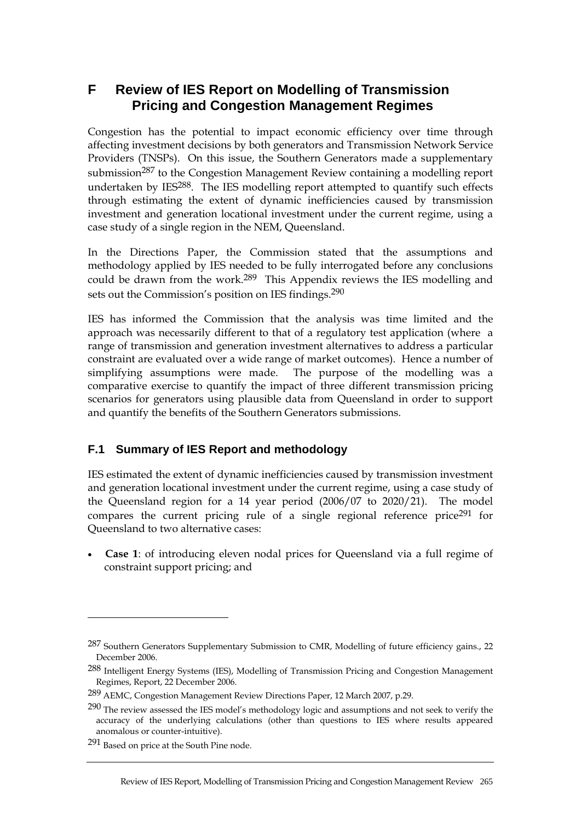# **F Review of IES Report on Modelling of Transmission Pricing and Congestion Management Regimes**

Congestion has the potential to impact economic efficiency over time through affecting investment decisions by both generators and Transmission Network Service Providers (TNSPs). On this issue, the Southern Generators made a supplementary submission<sup>287</sup> to the Congestion Management Review containing a modelling report undertaken by IES<sup>288</sup>. The IES modelling report attempted to quantify such effects through estimating the extent of dynamic inefficiencies caused by transmission investment and generation locational investment under the current regime, using a case study of a single region in the NEM, Queensland.

In the Directions Paper, the Commission stated that the assumptions and methodology applied by IES needed to be fully interrogated before any conclusions could be drawn from the work.289 This Appendix reviews the IES modelling and sets out the Commission's position on IES findings.<sup>290</sup>

IES has informed the Commission that the analysis was time limited and the approach was necessarily different to that of a regulatory test application (where a range of transmission and generation investment alternatives to address a particular constraint are evaluated over a wide range of market outcomes). Hence a number of simplifying assumptions were made. The purpose of the modelling was a comparative exercise to quantify the impact of three different transmission pricing scenarios for generators using plausible data from Queensland in order to support and quantify the benefits of the Southern Generators submissions.

### **F.1 Summary of IES Report and methodology**

IES estimated the extent of dynamic inefficiencies caused by transmission investment and generation locational investment under the current regime, using a case study of the Queensland region for a 14 year period (2006/07 to 2020/21). The model compares the current pricing rule of a single regional reference price  $291$  for Queensland to two alternative cases:

• **Case 1**: of introducing eleven nodal prices for Queensland via a full regime of constraint support pricing; and

<sup>287</sup> Southern Generators Supplementary Submission to CMR, Modelling of future efficiency gains., 22 December 2006.

<sup>288</sup> Intelligent Energy Systems (IES), Modelling of Transmission Pricing and Congestion Management Regimes, Report, 22 December 2006.

<sup>289</sup> AEMC, Congestion Management Review Directions Paper, 12 March 2007, p.29.

<sup>290</sup> The review assessed the IES model's methodology logic and assumptions and not seek to verify the accuracy of the underlying calculations (other than questions to IES where results appeared anomalous or counter-intuitive).

<sup>291</sup> Based on price at the South Pine node.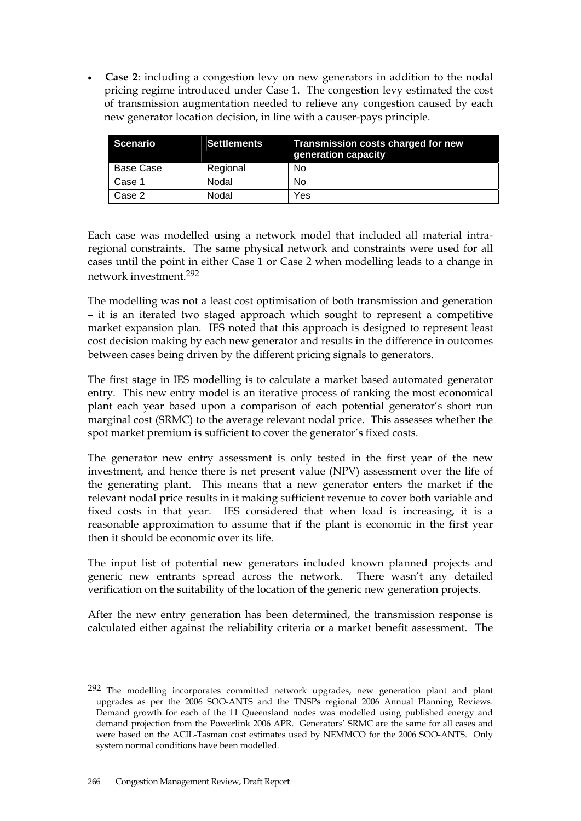• **Case 2**: including a congestion levy on new generators in addition to the nodal pricing regime introduced under Case 1. The congestion levy estimated the cost of transmission augmentation needed to relieve any congestion caused by each new generator location decision, in line with a causer-pays principle.

| Scenario  | <b>Settlements</b> | Transmission costs charged for new<br>generation capacity |
|-----------|--------------------|-----------------------------------------------------------|
| Base Case | Regional           | No                                                        |
| Case 1    | Nodal              | No                                                        |
| Case 2    | Nodal              | Yes                                                       |

Each case was modelled using a network model that included all material intraregional constraints. The same physical network and constraints were used for all cases until the point in either Case 1 or Case 2 when modelling leads to a change in network investment.292

The modelling was not a least cost optimisation of both transmission and generation – it is an iterated two staged approach which sought to represent a competitive market expansion plan. IES noted that this approach is designed to represent least cost decision making by each new generator and results in the difference in outcomes between cases being driven by the different pricing signals to generators.

The first stage in IES modelling is to calculate a market based automated generator entry. This new entry model is an iterative process of ranking the most economical plant each year based upon a comparison of each potential generator's short run marginal cost (SRMC) to the average relevant nodal price. This assesses whether the spot market premium is sufficient to cover the generator's fixed costs.

The generator new entry assessment is only tested in the first year of the new investment, and hence there is net present value (NPV) assessment over the life of the generating plant. This means that a new generator enters the market if the relevant nodal price results in it making sufficient revenue to cover both variable and fixed costs in that year. IES considered that when load is increasing, it is a reasonable approximation to assume that if the plant is economic in the first year then it should be economic over its life.

The input list of potential new generators included known planned projects and generic new entrants spread across the network. There wasn't any detailed verification on the suitability of the location of the generic new generation projects.

After the new entry generation has been determined, the transmission response is calculated either against the reliability criteria or a market benefit assessment. The

<sup>292</sup> The modelling incorporates committed network upgrades, new generation plant and plant upgrades as per the 2006 SOO-ANTS and the TNSPs regional 2006 Annual Planning Reviews. Demand growth for each of the 11 Queensland nodes was modelled using published energy and demand projection from the Powerlink 2006 APR. Generators' SRMC are the same for all cases and were based on the ACIL-Tasman cost estimates used by NEMMCO for the 2006 SOO-ANTS. Only system normal conditions have been modelled.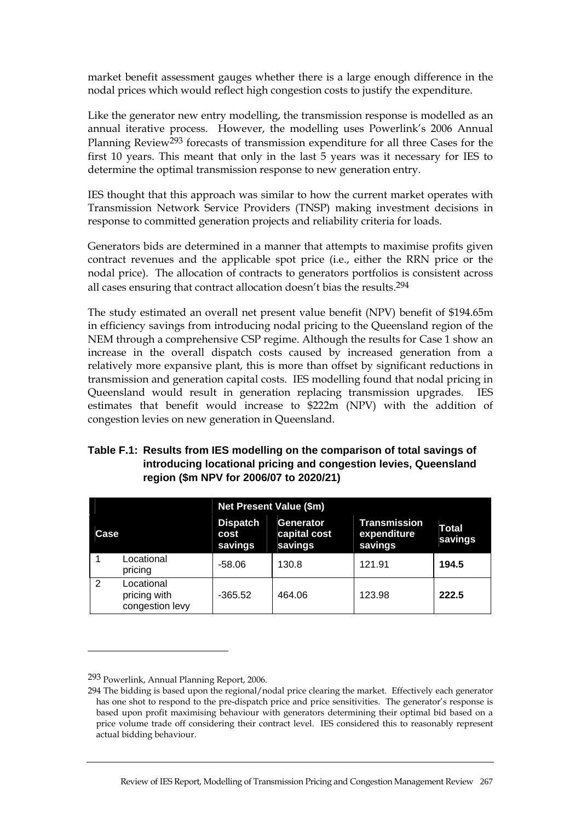market benefit assessment gauges whether there is a large enough difference in the nodal prices which would reflect high congestion costs to justify the expenditure.

Like the generator new entry modelling, the transmission response is modelled as an annual iterative process. However, the modelling uses Powerlink's 2006 Annual Planning Review<sup>293</sup> forecasts of transmission expenditure for all three Cases for the first 10 years. This meant that only in the last 5 years was it necessary for IES to determine the optimal transmission response to new generation entry.

IES thought that this approach was similar to how the current market operates with Transmission Network Service Providers (TNSP) making investment decisions in response to committed generation projects and reliability criteria for loads.

Generators bids are determined in a manner that attempts to maximise profits given contract revenues and the applicable spot price (i.e., either the RRN price or the nodal price). The allocation of contracts to generators portfolios is consistent across all cases ensuring that contract allocation doesn't bias the results.294

The study estimated an overall net present value benefit (NPV) benefit of \$194.65m in efficiency savings from introducing nodal pricing to the Queensland region of the NEM through a comprehensive CSP regime. Although the results for Case 1 show an increase in the overall dispatch costs caused by increased generation from a relatively more expansive plant, this is more than offset by significant reductions in transmission and generation capital costs. IES modelling found that nodal pricing in Queensland would result in generation replacing transmission upgrades. IES estimates that benefit would increase to \$222m (NPV) with the addition of congestion levies on new generation in Queensland.

### **Table F.1: Results from IES modelling on the comparison of total savings of introducing locational pricing and congestion levies, Queensland region (\$m NPV for 2006/07 to 2020/21)**

|       |                                               | <b>Net Present Value (\$m)</b>     |                                      |                                        |                         |  |
|-------|-----------------------------------------------|------------------------------------|--------------------------------------|----------------------------------------|-------------------------|--|
| Case. |                                               | <b>Dispatch</b><br>cost<br>savings | Generator<br>capital cost<br>savings | Transmission<br>expenditure<br>savings | <b>Total</b><br>savings |  |
|       | Locational<br>pricing                         | $-58.06$                           | 130.8                                | 121.91                                 | 194.5                   |  |
| 2     | Locational<br>pricing with<br>congestion levy | $-365.52$                          | 464.06                               | 123.98                                 | 222.5                   |  |

<sup>293</sup> Powerlink, Annual Planning Report, 2006.

<sup>294</sup> The bidding is based upon the regional/nodal price clearing the market. Effectively each generator has one shot to respond to the pre-dispatch price and price sensitivities. The generator's response is based upon profit maximising behaviour with generators determining their optimal bid based on a price volume trade off considering their contract level. IES considered this to reasonably represent actual bidding behaviour.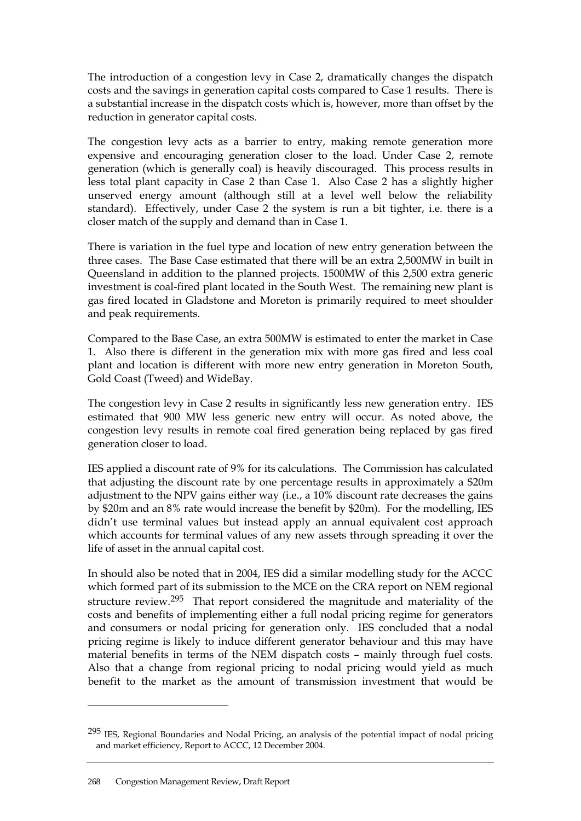The introduction of a congestion levy in Case 2, dramatically changes the dispatch costs and the savings in generation capital costs compared to Case 1 results. There is a substantial increase in the dispatch costs which is, however, more than offset by the reduction in generator capital costs.

The congestion levy acts as a barrier to entry, making remote generation more expensive and encouraging generation closer to the load. Under Case 2, remote generation (which is generally coal) is heavily discouraged. This process results in less total plant capacity in Case 2 than Case 1. Also Case 2 has a slightly higher unserved energy amount (although still at a level well below the reliability standard). Effectively, under Case 2 the system is run a bit tighter, i.e. there is a closer match of the supply and demand than in Case 1.

There is variation in the fuel type and location of new entry generation between the three cases. The Base Case estimated that there will be an extra 2,500MW in built in Queensland in addition to the planned projects. 1500MW of this 2,500 extra generic investment is coal-fired plant located in the South West. The remaining new plant is gas fired located in Gladstone and Moreton is primarily required to meet shoulder and peak requirements.

Compared to the Base Case, an extra 500MW is estimated to enter the market in Case 1. Also there is different in the generation mix with more gas fired and less coal plant and location is different with more new entry generation in Moreton South, Gold Coast (Tweed) and WideBay.

The congestion levy in Case 2 results in significantly less new generation entry. IES estimated that 900 MW less generic new entry will occur. As noted above, the congestion levy results in remote coal fired generation being replaced by gas fired generation closer to load.

IES applied a discount rate of 9% for its calculations. The Commission has calculated that adjusting the discount rate by one percentage results in approximately a \$20m adjustment to the NPV gains either way (i.e., a 10% discount rate decreases the gains by \$20m and an 8% rate would increase the benefit by \$20m). For the modelling, IES didn't use terminal values but instead apply an annual equivalent cost approach which accounts for terminal values of any new assets through spreading it over the life of asset in the annual capital cost.

In should also be noted that in 2004, IES did a similar modelling study for the ACCC which formed part of its submission to the MCE on the CRA report on NEM regional structure review.295 That report considered the magnitude and materiality of the costs and benefits of implementing either a full nodal pricing regime for generators and consumers or nodal pricing for generation only. IES concluded that a nodal pricing regime is likely to induce different generator behaviour and this may have material benefits in terms of the NEM dispatch costs – mainly through fuel costs. Also that a change from regional pricing to nodal pricing would yield as much benefit to the market as the amount of transmission investment that would be

<sup>295</sup> IES, Regional Boundaries and Nodal Pricing, an analysis of the potential impact of nodal pricing and market efficiency, Report to ACCC, 12 December 2004.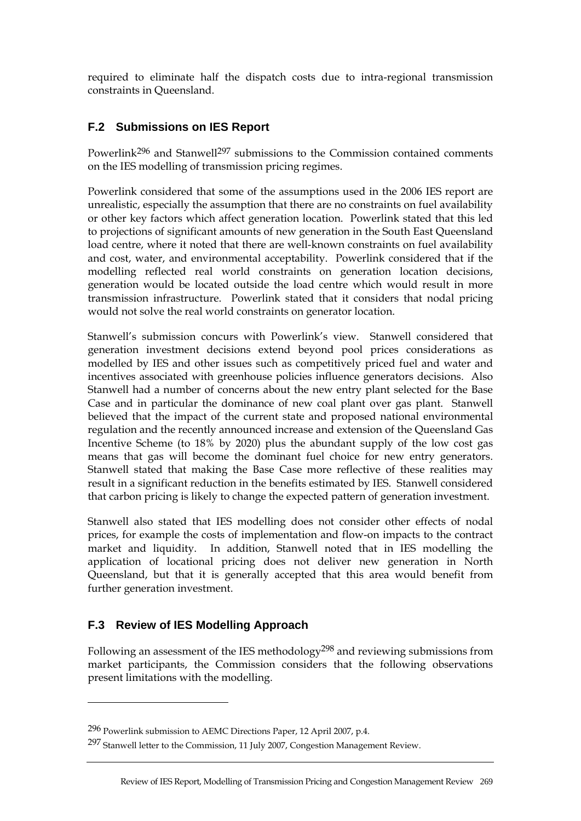required to eliminate half the dispatch costs due to intra-regional transmission constraints in Queensland.

# **F.2 Submissions on IES Report**

Powerlink<sup>296</sup> and Stanwell<sup>297</sup> submissions to the Commission contained comments on the IES modelling of transmission pricing regimes.

Powerlink considered that some of the assumptions used in the 2006 IES report are unrealistic, especially the assumption that there are no constraints on fuel availability or other key factors which affect generation location. Powerlink stated that this led to projections of significant amounts of new generation in the South East Queensland load centre, where it noted that there are well-known constraints on fuel availability and cost, water, and environmental acceptability. Powerlink considered that if the modelling reflected real world constraints on generation location decisions, generation would be located outside the load centre which would result in more transmission infrastructure. Powerlink stated that it considers that nodal pricing would not solve the real world constraints on generator location.

Stanwell's submission concurs with Powerlink's view. Stanwell considered that generation investment decisions extend beyond pool prices considerations as modelled by IES and other issues such as competitively priced fuel and water and incentives associated with greenhouse policies influence generators decisions. Also Stanwell had a number of concerns about the new entry plant selected for the Base Case and in particular the dominance of new coal plant over gas plant. Stanwell believed that the impact of the current state and proposed national environmental regulation and the recently announced increase and extension of the Queensland Gas Incentive Scheme (to 18% by 2020) plus the abundant supply of the low cost gas means that gas will become the dominant fuel choice for new entry generators. Stanwell stated that making the Base Case more reflective of these realities may result in a significant reduction in the benefits estimated by IES. Stanwell considered that carbon pricing is likely to change the expected pattern of generation investment.

Stanwell also stated that IES modelling does not consider other effects of nodal prices, for example the costs of implementation and flow-on impacts to the contract market and liquidity. In addition, Stanwell noted that in IES modelling the application of locational pricing does not deliver new generation in North Queensland, but that it is generally accepted that this area would benefit from further generation investment.

### **F.3 Review of IES Modelling Approach**

 $\overline{a}$ 

Following an assessment of the IES methodology298 and reviewing submissions from market participants, the Commission considers that the following observations present limitations with the modelling.

<sup>296</sup> Powerlink submission to AEMC Directions Paper, 12 April 2007, p.4.

<sup>297</sup> Stanwell letter to the Commission, 11 July 2007, Congestion Management Review.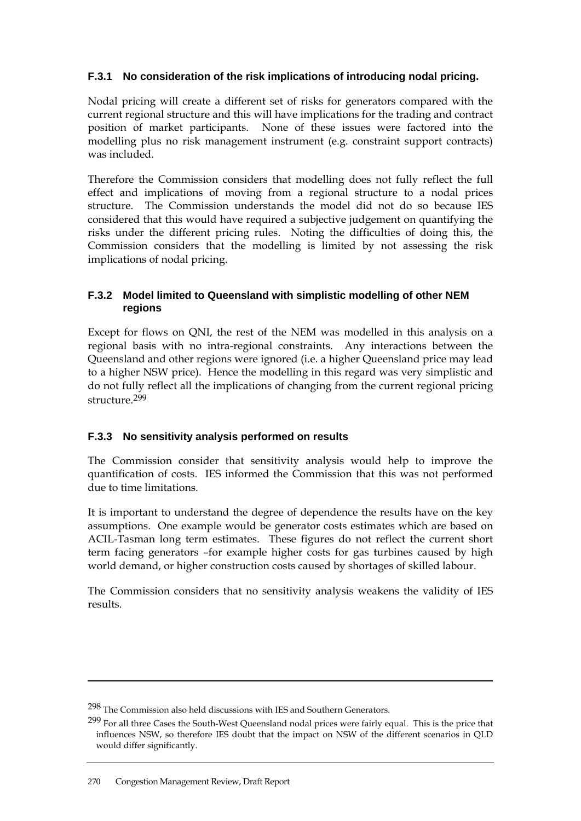### **F.3.1 No consideration of the risk implications of introducing nodal pricing.**

Nodal pricing will create a different set of risks for generators compared with the current regional structure and this will have implications for the trading and contract position of market participants. None of these issues were factored into the modelling plus no risk management instrument (e.g. constraint support contracts) was included.

Therefore the Commission considers that modelling does not fully reflect the full effect and implications of moving from a regional structure to a nodal prices structure. The Commission understands the model did not do so because IES considered that this would have required a subjective judgement on quantifying the risks under the different pricing rules. Noting the difficulties of doing this, the Commission considers that the modelling is limited by not assessing the risk implications of nodal pricing.

#### **F.3.2 Model limited to Queensland with simplistic modelling of other NEM regions**

Except for flows on QNI, the rest of the NEM was modelled in this analysis on a regional basis with no intra-regional constraints. Any interactions between the Queensland and other regions were ignored (i.e. a higher Queensland price may lead to a higher NSW price). Hence the modelling in this regard was very simplistic and do not fully reflect all the implications of changing from the current regional pricing structure.299

### **F.3.3 No sensitivity analysis performed on results**

The Commission consider that sensitivity analysis would help to improve the quantification of costs. IES informed the Commission that this was not performed due to time limitations.

It is important to understand the degree of dependence the results have on the key assumptions. One example would be generator costs estimates which are based on ACIL-Tasman long term estimates. These figures do not reflect the current short term facing generators –for example higher costs for gas turbines caused by high world demand, or higher construction costs caused by shortages of skilled labour.

The Commission considers that no sensitivity analysis weakens the validity of IES results.

<sup>298</sup> The Commission also held discussions with IES and Southern Generators.

<sup>299</sup> For all three Cases the South-West Queensland nodal prices were fairly equal. This is the price that influences NSW, so therefore IES doubt that the impact on NSW of the different scenarios in QLD would differ significantly.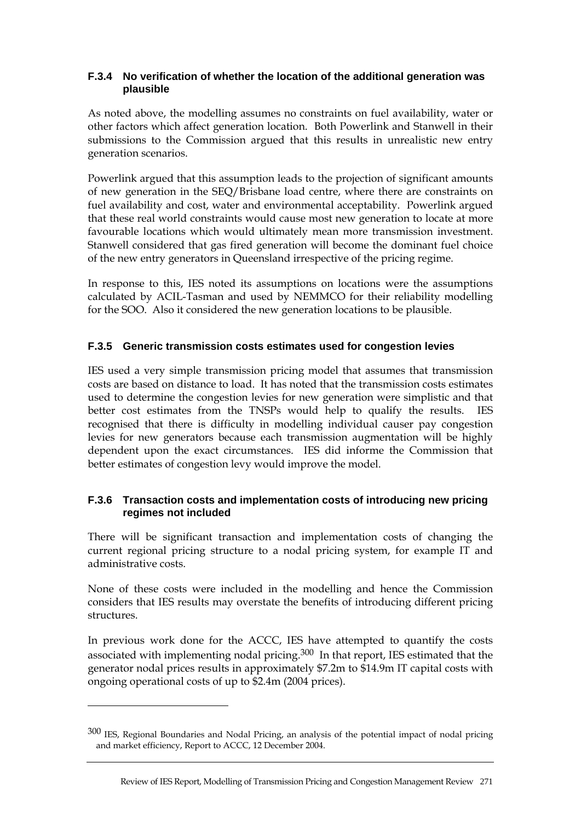#### **F.3.4 No verification of whether the location of the additional generation was plausible**

As noted above, the modelling assumes no constraints on fuel availability, water or other factors which affect generation location. Both Powerlink and Stanwell in their submissions to the Commission argued that this results in unrealistic new entry generation scenarios.

Powerlink argued that this assumption leads to the projection of significant amounts of new generation in the SEQ/Brisbane load centre, where there are constraints on fuel availability and cost, water and environmental acceptability. Powerlink argued that these real world constraints would cause most new generation to locate at more favourable locations which would ultimately mean more transmission investment. Stanwell considered that gas fired generation will become the dominant fuel choice of the new entry generators in Queensland irrespective of the pricing regime.

In response to this, IES noted its assumptions on locations were the assumptions calculated by ACIL-Tasman and used by NEMMCO for their reliability modelling for the SOO. Also it considered the new generation locations to be plausible.

#### **F.3.5 Generic transmission costs estimates used for congestion levies**

IES used a very simple transmission pricing model that assumes that transmission costs are based on distance to load. It has noted that the transmission costs estimates used to determine the congestion levies for new generation were simplistic and that better cost estimates from the TNSPs would help to qualify the results. IES recognised that there is difficulty in modelling individual causer pay congestion levies for new generators because each transmission augmentation will be highly dependent upon the exact circumstances. IES did informe the Commission that better estimates of congestion levy would improve the model.

#### **F.3.6 Transaction costs and implementation costs of introducing new pricing regimes not included**

There will be significant transaction and implementation costs of changing the current regional pricing structure to a nodal pricing system, for example IT and administrative costs.

None of these costs were included in the modelling and hence the Commission considers that IES results may overstate the benefits of introducing different pricing structures.

In previous work done for the ACCC, IES have attempted to quantify the costs associated with implementing nodal pricing.300 In that report, IES estimated that the generator nodal prices results in approximately \$7.2m to \$14.9m IT capital costs with ongoing operational costs of up to \$2.4m (2004 prices).

<sup>300</sup> IES, Regional Boundaries and Nodal Pricing, an analysis of the potential impact of nodal pricing and market efficiency, Report to ACCC, 12 December 2004.